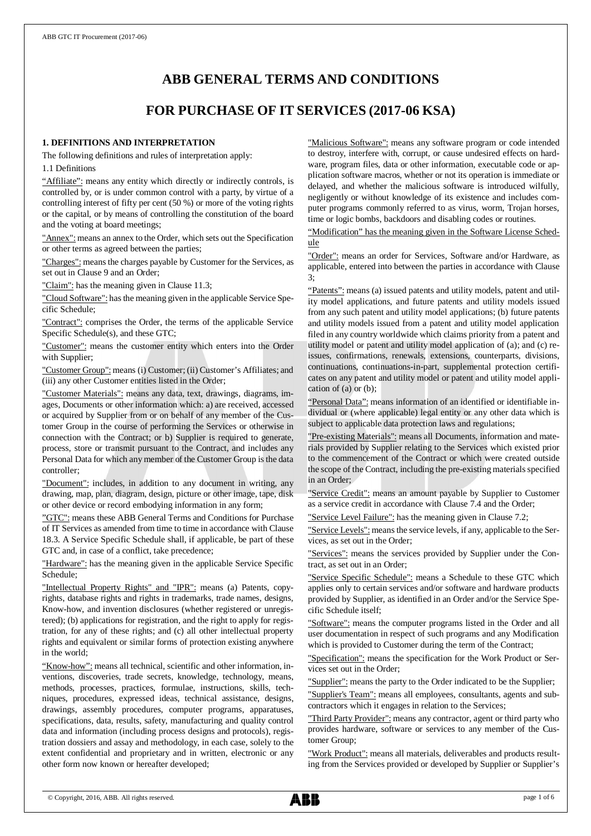# **ABB GENERAL TERMS AND CONDITIONS**

## **FOR PURCHASE OF IT SERVICES (2017-06 KSA)**

#### **1. DEFINITIONS AND INTERPRETATION**

The following definitions and rules of interpretation apply:

1.1 Definitions

"Affiliate": means any entity which directly or indirectly controls, is controlled by, or is under common control with a party, by virtue of a controlling interest of fifty per cent (50 %) or more of the voting rights or the capital, or by means of controlling the constitution of the board and the voting at board meetings;

"Annex": means an annex to the Order, which sets out the Specification or other terms as agreed between the parties;

"Charges": means the charges payable by Customer for the Services, as set out in Clause 9 and an Order;

"Claim": has the meaning given in Clause 11.3;

"Cloud Software": has the meaning given in the applicable Service Specific Schedule;

"Contract": comprises the Order, the terms of the applicable Service Specific Schedule(s), and these GTC;

"Customer": means the customer entity which enters into the Order with Supplier;

"Customer Group": means (i) Customer; (ii) Customer's Affiliates; and (iii) any other Customer entities listed in the Order;

"Customer Materials": means any data, text, drawings, diagrams, images, Documents or other information which: a) are received, accessed or acquired by Supplier from or on behalf of any member of the Customer Group in the course of performing the Services or otherwise in connection with the Contract; or b) Supplier is required to generate, process, store or transmit pursuant to the Contract, and includes any Personal Data for which any member of the Customer Group is the data controller;

"Document": includes, in addition to any document in writing, any drawing, map, plan, diagram, design, picture or other image, tape, disk or other device or record embodying information in any form;

"GTC": means these ABB General Terms and Conditions for Purchase of IT Services as amended from time to time in accordance with Clause 18.3. A Service Specific Schedule shall, if applicable, be part of these GTC and, in case of a conflict, take precedence;

"Hardware": has the meaning given in the applicable Service Specific Schedule;

"Intellectual Property Rights" and "IPR": means (a) Patents, copyrights, database rights and rights in trademarks, trade names, designs, Know-how, and invention disclosures (whether registered or unregistered); (b) applications for registration, and the right to apply for registration, for any of these rights; and (c) all other intellectual property rights and equivalent or similar forms of protection existing anywhere in the world;

"Know-how": means all technical, scientific and other information, inventions, discoveries, trade secrets, knowledge, technology, means, methods, processes, practices, formulae, instructions, skills, techniques, procedures, expressed ideas, technical assistance, designs, drawings, assembly procedures, computer programs, apparatuses, specifications, data, results, safety, manufacturing and quality control data and information (including process designs and protocols), registration dossiers and assay and methodology, in each case, solely to the extent confidential and proprietary and in written, electronic or any other form now known or hereafter developed;

"Malicious Software": means any software program or code intended to destroy, interfere with, corrupt, or cause undesired effects on hardware, program files, data or other information, executable code or application software macros, whether or not its operation is immediate or delayed, and whether the malicious software is introduced wilfully, negligently or without knowledge of its existence and includes computer programs commonly referred to as virus, worm, Trojan horses, time or logic bombs, backdoors and disabling codes or routines.

"Modification" has the meaning given in the Software License Schedule

"Order": means an order for Services, Software and/or Hardware, as applicable, entered into between the parties in accordance with Clause 3;

"Patents": means (a) issued patents and utility models, patent and utility model applications, and future patents and utility models issued from any such patent and utility model applications; (b) future patents and utility models issued from a patent and utility model application filed in any country worldwide which claims priority from a patent and utility model or patent and utility model application of (a); and (c) reissues, confirmations, renewals, extensions, counterparts, divisions, continuations, continuations-in-part, supplemental protection certificates on any patent and utility model or patent and utility model application of (a) or (b);

"Personal Data": means information of an identified or identifiable individual or (where applicable) legal entity or any other data which is subject to applicable data protection laws and regulations;

"Pre-existing Materials": means all Documents, information and materials provided by Supplier relating to the Services which existed prior to the commencement of the Contract or which were created outside the scope of the Contract, including the pre-existing materials specified in an Order;

"Service Credit": means an amount payable by Supplier to Customer as a service credit in accordance with Clause 7.4 and the Order;

"Service Level Failure": has the meaning given in Clause 7.2;

"Service Levels": means the service levels, if any, applicable to the Services, as set out in the Order;

"Services": means the services provided by Supplier under the Contract, as set out in an Order;

"Service Specific Schedule": means a Schedule to these GTC which applies only to certain services and/or software and hardware products provided by Supplier, as identified in an Order and/or the Service Specific Schedule itself;

"Software": means the computer programs listed in the Order and all user documentation in respect of such programs and any Modification which is provided to Customer during the term of the Contract;

"Specification": means the specification for the Work Product or Services set out in the Order;

"Supplier": means the party to the Order indicated to be the Supplier;

"Supplier's Team": means all employees, consultants, agents and subcontractors which it engages in relation to the Services;

"Third Party Provider": means any contractor, agent or third party who provides hardware, software or services to any member of the Customer Group;

"Work Product": means all materials, deliverables and products resulting from the Services provided or developed by Supplier or Supplier's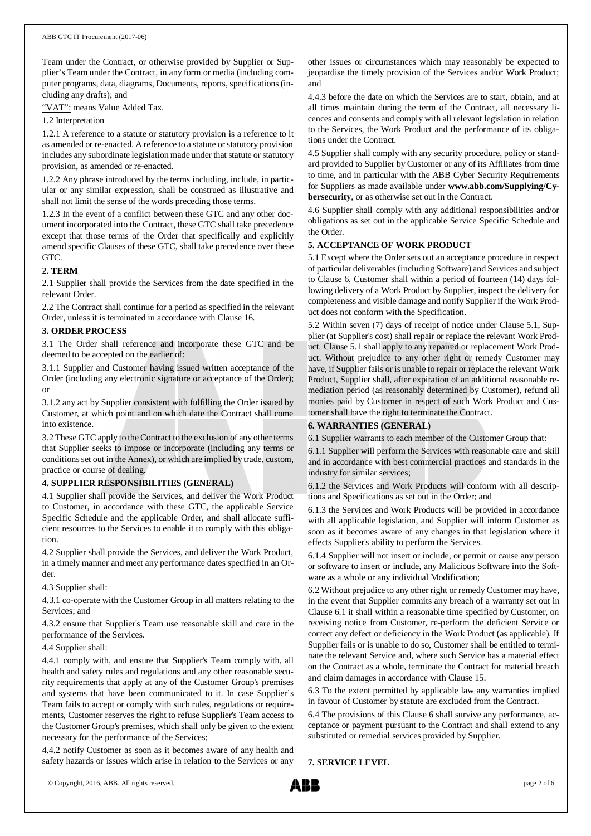Team under the Contract, or otherwise provided by Supplier or Supplier's Team under the Contract, in any form or media (including computer programs, data, diagrams, Documents, reports, specifications (including any drafts); and

"VAT": means Value Added Tax.

1.2 Interpretation

1.2.1 A reference to a statute or statutory provision is a reference to it as amended or re-enacted. A reference to a statute or statutory provision includes any subordinate legislation made under that statute or statutory provision, as amended or re-enacted.

1.2.2 Any phrase introduced by the terms including, include, in particular or any similar expression, shall be construed as illustrative and shall not limit the sense of the words preceding those terms.

1.2.3 In the event of a conflict between these GTC and any other document incorporated into the Contract, these GTC shall take precedence except that those terms of the Order that specifically and explicitly amend specific Clauses of these GTC, shall take precedence over these GTC.

## **2. TERM**

2.1 Supplier shall provide the Services from the date specified in the relevant Order.

2.2 The Contract shall continue for a period as specified in the relevant Order, unless it is terminated in accordance with Clause 16.

## **3. ORDER PROCESS**

3.1 The Order shall reference and incorporate these GTC and be deemed to be accepted on the earlier of:

3.1.1 Supplier and Customer having issued written acceptance of the Order (including any electronic signature or acceptance of the Order); or

3.1.2 any act by Supplier consistent with fulfilling the Order issued by Customer, at which point and on which date the Contract shall come into existence.

3.2 These GTC apply to the Contract to the exclusion of any other terms that Supplier seeks to impose or incorporate (including any terms or conditions set out in the Annex), or which are implied by trade, custom, practice or course of dealing.

## **4. SUPPLIER RESPONSIBILITIES (GENERAL)**

4.1 Supplier shall provide the Services, and deliver the Work Product to Customer, in accordance with these GTC, the applicable Service Specific Schedule and the applicable Order, and shall allocate sufficient resources to the Services to enable it to comply with this obligation.

4.2 Supplier shall provide the Services, and deliver the Work Product, in a timely manner and meet any performance dates specified in an Order.

4.3 Supplier shall:

4.3.1 co-operate with the Customer Group in all matters relating to the Services; and

4.3.2 ensure that Supplier's Team use reasonable skill and care in the performance of the Services.

4.4 Supplier shall:

4.4.1 comply with, and ensure that Supplier's Team comply with, all health and safety rules and regulations and any other reasonable security requirements that apply at any of the Customer Group's premises and systems that have been communicated to it. In case Supplier's Team fails to accept or comply with such rules, regulations or requirements, Customer reserves the right to refuse Supplier's Team access to the Customer Group's premises, which shall only be given to the extent necessary for the performance of the Services;

4.4.2 notify Customer as soon as it becomes aware of any health and safety hazards or issues which arise in relation to the Services or any

other issues or circumstances which may reasonably be expected to jeopardise the timely provision of the Services and/or Work Product; and

4.4.3 before the date on which the Services are to start, obtain, and at all times maintain during the term of the Contract, all necessary licences and consents and comply with all relevant legislation in relation to the Services, the Work Product and the performance of its obligations under the Contract.

4.5 Supplier shall comply with any security procedure, policy or standard provided to Supplier by Customer or any of its Affiliates from time to time, and in particular with the ABB Cyber Security Requirements for Suppliers as made available under **www.abb.com/Supplying/Cybersecurity**, or as otherwise set out in the Contract.

4.6 Supplier shall comply with any additional responsibilities and/or obligations as set out in the applicable Service Specific Schedule and the Order.

## **5. ACCEPTANCE OF WORK PRODUCT**

5.1 Except where the Order sets out an acceptance procedure in respect of particular deliverables (including Software) and Services and subject to Clause 6, Customer shall within a period of fourteen (14) days following delivery of a Work Product by Supplier, inspect the delivery for completeness and visible damage and notify Supplier if the Work Product does not conform with the Specification.

5.2 Within seven (7) days of receipt of notice under Clause 5.1, Supplier (at Supplier's cost) shall repair or replace the relevant Work Product. Clause 5.1 shall apply to any repaired or replacement Work Product. Without prejudice to any other right or remedy Customer may have, if Supplier fails or is unable to repair or replace the relevant Work Product, Supplier shall, after expiration of an additional reasonable remediation period (as reasonably determined by Customer), refund all monies paid by Customer in respect of such Work Product and Customer shall have the right to terminate the Contract.

## **6. WARRANTIES (GENERAL)**

6.1 Supplier warrants to each member of the Customer Group that:

6.1.1 Supplier will perform the Services with reasonable care and skill and in accordance with best commercial practices and standards in the industry for similar services;

6.1.2 the Services and Work Products will conform with all descriptions and Specifications as set out in the Order; and

6.1.3 the Services and Work Products will be provided in accordance with all applicable legislation, and Supplier will inform Customer as soon as it becomes aware of any changes in that legislation where it effects Supplier's ability to perform the Services.

6.1.4 Supplier will not insert or include, or permit or cause any person or software to insert or include, any Malicious Software into the Software as a whole or any individual Modification;

6.2 Without prejudice to any other right or remedy Customer may have, in the event that Supplier commits any breach of a warranty set out in Clause 6.1 it shall within a reasonable time specified by Customer, on receiving notice from Customer, re-perform the deficient Service or correct any defect or deficiency in the Work Product (as applicable). If Supplier fails or is unable to do so, Customer shall be entitled to terminate the relevant Service and, where such Service has a material effect on the Contract as a whole, terminate the Contract for material breach and claim damages in accordance with Clause 15.

6.3 To the extent permitted by applicable law any warranties implied in favour of Customer by statute are excluded from the Contract.

6.4 The provisions of this Clause 6 shall survive any performance, acceptance or payment pursuant to the Contract and shall extend to any substituted or remedial services provided by Supplier.

#### **7. SERVICE LEVEL**

© Copyright, 2016, ABB. All rights reserved. page 2 of 6

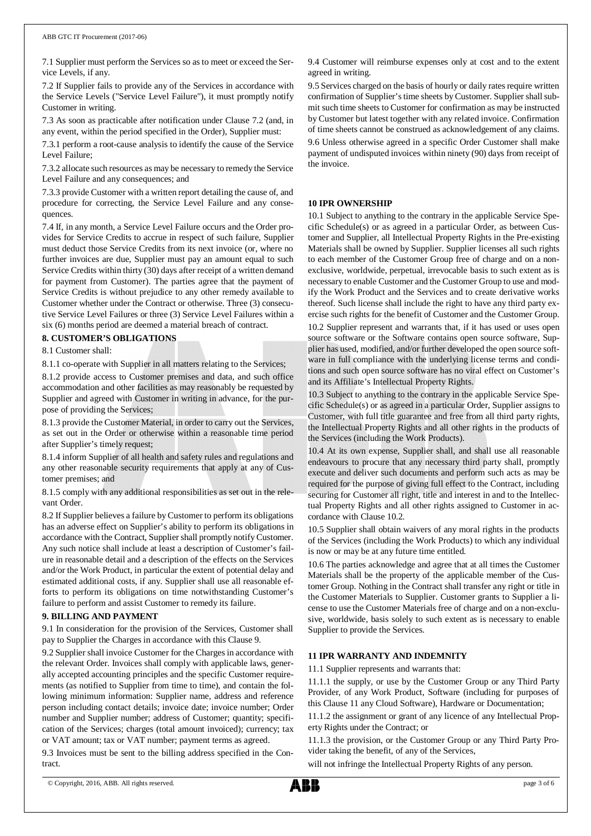7.1 Supplier must perform the Services so as to meet or exceed the Service Levels, if any.

7.2 If Supplier fails to provide any of the Services in accordance with the Service Levels ("Service Level Failure"), it must promptly notify Customer in writing.

7.3 As soon as practicable after notification under Clause 7.2 (and, in any event, within the period specified in the Order), Supplier must:

7.3.1 perform a root-cause analysis to identify the cause of the Service Level Failure;

7.3.2 allocate such resources as may be necessary to remedy the Service Level Failure and any consequences; and

7.3.3 provide Customer with a written report detailing the cause of, and procedure for correcting, the Service Level Failure and any consequences.

7.4 If, in any month, a Service Level Failure occurs and the Order provides for Service Credits to accrue in respect of such failure, Supplier must deduct those Service Credits from its next invoice (or, where no further invoices are due, Supplier must pay an amount equal to such Service Credits within thirty (30) days after receipt of a written demand for payment from Customer). The parties agree that the payment of Service Credits is without prejudice to any other remedy available to Customer whether under the Contract or otherwise. Three (3) consecutive Service Level Failures or three (3) Service Level Failures within a six (6) months period are deemed a material breach of contract.

#### **8. CUSTOMER'S OBLIGATIONS**

8.1 Customer shall:

8.1.1 co-operate with Supplier in all matters relating to the Services;

8.1.2 provide access to Customer premises and data, and such office accommodation and other facilities as may reasonably be requested by Supplier and agreed with Customer in writing in advance, for the purpose of providing the Services;

8.1.3 provide the Customer Material, in order to carry out the Services, as set out in the Order or otherwise within a reasonable time period after Supplier's timely request;

8.1.4 inform Supplier of all health and safety rules and regulations and any other reasonable security requirements that apply at any of Customer premises; and

8.1.5 comply with any additional responsibilities as set out in the relevant Order.

8.2 If Supplier believes a failure by Customer to perform its obligations has an adverse effect on Supplier's ability to perform its obligations in accordance with the Contract, Supplier shall promptly notify Customer. Any such notice shall include at least a description of Customer's failure in reasonable detail and a description of the effects on the Services and/or the Work Product, in particular the extent of potential delay and estimated additional costs, if any. Supplier shall use all reasonable efforts to perform its obligations on time notwithstanding Customer's failure to perform and assist Customer to remedy its failure.

#### **9. BILLING AND PAYMENT**

9.1 In consideration for the provision of the Services, Customer shall pay to Supplier the Charges in accordance with this Clause 9.

9.2 Supplier shall invoice Customer for the Charges in accordance with the relevant Order. Invoices shall comply with applicable laws, generally accepted accounting principles and the specific Customer requirements (as notified to Supplier from time to time), and contain the following minimum information: Supplier name, address and reference person including contact details; invoice date; invoice number; Order number and Supplier number; address of Customer; quantity; specification of the Services; charges (total amount invoiced); currency; tax or VAT amount; tax or VAT number; payment terms as agreed.

9.3 Invoices must be sent to the billing address specified in the Contract.

9.4 Customer will reimburse expenses only at cost and to the extent agreed in writing.

9.5 Services charged on the basis of hourly or daily rates require written confirmation of Supplier's time sheets by Customer. Supplier shall submit such time sheets to Customer for confirmation as may be instructed by Customer but latest together with any related invoice. Confirmation of time sheets cannot be construed as acknowledgement of any claims. 9.6 Unless otherwise agreed in a specific Order Customer shall make payment of undisputed invoices within ninety (90) days from receipt of the invoice.

## **10 IPR OWNERSHIP**

10.1 Subject to anything to the contrary in the applicable Service Specific Schedule(s) or as agreed in a particular Order, as between Customer and Supplier, all Intellectual Property Rights in the Pre-existing Materials shall be owned by Supplier. Supplier licenses all such rights to each member of the Customer Group free of charge and on a nonexclusive, worldwide, perpetual, irrevocable basis to such extent as is necessary to enable Customer and the Customer Group to use and modify the Work Product and the Services and to create derivative works thereof. Such license shall include the right to have any third party exercise such rights for the benefit of Customer and the Customer Group.

10.2 Supplier represent and warrants that, if it has used or uses open source software or the Software contains open source software, Supplier has used, modified, and/or further developed the open source software in full compliance with the underlying license terms and conditions and such open source software has no viral effect on Customer's and its Affiliate's Intellectual Property Rights.

10.3 Subject to anything to the contrary in the applicable Service Specific Schedule(s) or as agreed in a particular Order, Supplier assigns to Customer, with full title guarantee and free from all third party rights, the Intellectual Property Rights and all other rights in the products of the Services (including the Work Products).

10.4 At its own expense, Supplier shall, and shall use all reasonable endeavours to procure that any necessary third party shall, promptly execute and deliver such documents and perform such acts as may be required for the purpose of giving full effect to the Contract, including securing for Customer all right, title and interest in and to the Intellectual Property Rights and all other rights assigned to Customer in accordance with Clause 10.2.

10.5 Supplier shall obtain waivers of any moral rights in the products of the Services (including the Work Products) to which any individual is now or may be at any future time entitled.

10.6 The parties acknowledge and agree that at all times the Customer Materials shall be the property of the applicable member of the Customer Group. Nothing in the Contract shall transfer any right or title in the Customer Materials to Supplier. Customer grants to Supplier a license to use the Customer Materials free of charge and on a non-exclusive, worldwide, basis solely to such extent as is necessary to enable Supplier to provide the Services.

#### **11 IPR WARRANTY AND INDEMNITY**

11.1 Supplier represents and warrants that:

11.1.1 the supply, or use by the Customer Group or any Third Party Provider, of any Work Product, Software (including for purposes of this Clause 11 any Cloud Software), Hardware or Documentation;

11.1.2 the assignment or grant of any licence of any Intellectual Property Rights under the Contract; or

11.1.3 the provision, or the Customer Group or any Third Party Provider taking the benefit, of any of the Services,

will not infringe the Intellectual Property Rights of any person.

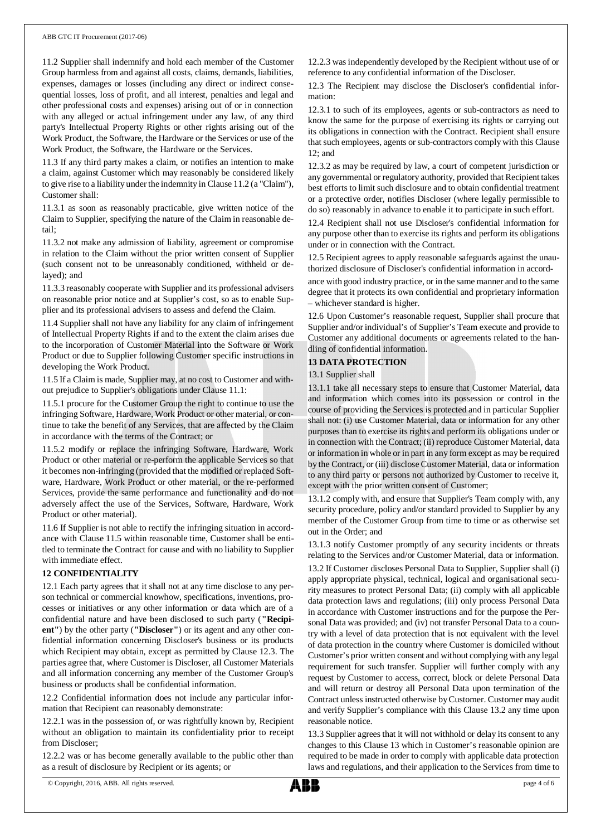11.2 Supplier shall indemnify and hold each member of the Customer Group harmless from and against all costs, claims, demands, liabilities, expenses, damages or losses (including any direct or indirect consequential losses, loss of profit, and all interest, penalties and legal and other professional costs and expenses) arising out of or in connection with any alleged or actual infringement under any law, of any third party's Intellectual Property Rights or other rights arising out of the Work Product, the Software, the Hardware or the Services or use of the Work Product, the Software, the Hardware or the Services.

11.3 If any third party makes a claim, or notifies an intention to make a claim, against Customer which may reasonably be considered likely to give rise to a liability under the indemnity in Clause 11.2 (a "Claim"), Customer shall:

11.3.1 as soon as reasonably practicable, give written notice of the Claim to Supplier, specifying the nature of the Claim in reasonable detail;

11.3.2 not make any admission of liability, agreement or compromise in relation to the Claim without the prior written consent of Supplier (such consent not to be unreasonably conditioned, withheld or delayed); and

11.3.3 reasonably cooperate with Supplier and its professional advisers on reasonable prior notice and at Supplier's cost, so as to enable Supplier and its professional advisers to assess and defend the Claim.

11.4 Supplier shall not have any liability for any claim of infringement of Intellectual Property Rights if and to the extent the claim arises due to the incorporation of Customer Material into the Software or Work Product or due to Supplier following Customer specific instructions in developing the Work Product.

11.5 If a Claim is made, Supplier may, at no cost to Customer and without prejudice to Supplier's obligations under Clause 11.1:

11.5.1 procure for the Customer Group the right to continue to use the infringing Software, Hardware, Work Product or other material, or continue to take the benefit of any Services, that are affected by the Claim in accordance with the terms of the Contract; or

11.5.2 modify or replace the infringing Software, Hardware, Work Product or other material or re-perform the applicable Services so that it becomes non-infringing (provided that the modified or replaced Software, Hardware, Work Product or other material, or the re-performed Services, provide the same performance and functionality and do not adversely affect the use of the Services, Software, Hardware, Work Product or other material).

11.6 If Supplier is not able to rectify the infringing situation in accordance with Clause 11.5 within reasonable time, Customer shall be entitled to terminate the Contract for cause and with no liability to Supplier with immediate effect.

## **12 CONFIDENTIALITY**

12.1 Each party agrees that it shall not at any time disclose to any person technical or commercial knowhow, specifications, inventions, processes or initiatives or any other information or data which are of a confidential nature and have been disclosed to such party (**"Recipient"**) by the other party (**"Discloser"**) or its agent and any other confidential information concerning Discloser's business or its products which Recipient may obtain, except as permitted by Clause 12.3. The parties agree that, where Customer is Discloser, all Customer Materials and all information concerning any member of the Customer Group's business or products shall be confidential information.

12.2 Confidential information does not include any particular information that Recipient can reasonably demonstrate:

12.2.1 was in the possession of, or was rightfully known by, Recipient without an obligation to maintain its confidentiality prior to receipt from Discloser;

12.2.2 was or has become generally available to the public other than as a result of disclosure by Recipient or its agents; or

12.2.3 was independently developed by the Recipient without use of or reference to any confidential information of the Discloser.

12.3 The Recipient may disclose the Discloser's confidential information:

12.3.1 to such of its employees, agents or sub-contractors as need to know the same for the purpose of exercising its rights or carrying out its obligations in connection with the Contract. Recipient shall ensure that such employees, agents or sub-contractors comply with this Clause  $12:$  and

12.3.2 as may be required by law, a court of competent jurisdiction or any governmental or regulatory authority, provided that Recipient takes best efforts to limit such disclosure and to obtain confidential treatment or a protective order, notifies Discloser (where legally permissible to do so) reasonably in advance to enable it to participate in such effort.

12.4 Recipient shall not use Discloser's confidential information for any purpose other than to exercise its rights and perform its obligations under or in connection with the Contract.

12.5 Recipient agrees to apply reasonable safeguards against the unauthorized disclosure of Discloser's confidential information in accord-

ance with good industry practice, or in the same manner and to the same degree that it protects its own confidential and proprietary information – whichever standard is higher.

12.6 Upon Customer's reasonable request, Supplier shall procure that Supplier and/or individual's of Supplier's Team execute and provide to Customer any additional documents or agreements related to the handling of confidential information.

## **13 DATA PROTECTION**

13.1 Supplier shall

13.1.1 take all necessary steps to ensure that Customer Material, data and information which comes into its possession or control in the course of providing the Services is protected and in particular Supplier shall not: (i) use Customer Material, data or information for any other purposes than to exercise its rights and perform its obligations under or in connection with the Contract; (ii) reproduce Customer Material, data or information in whole or in part in any form except as may be required by the Contract, or (iii) disclose Customer Material, data or information to any third party or persons not authorized by Customer to receive it, except with the prior written consent of Customer;

13.1.2 comply with, and ensure that Supplier's Team comply with, any security procedure, policy and/or standard provided to Supplier by any member of the Customer Group from time to time or as otherwise set out in the Order; and

13.1.3 notify Customer promptly of any security incidents or threats relating to the Services and/or Customer Material, data or information.

13.2 If Customer discloses Personal Data to Supplier, Supplier shall (i) apply appropriate physical, technical, logical and organisational security measures to protect Personal Data; (ii) comply with all applicable data protection laws and regulations; (iii) only process Personal Data in accordance with Customer instructions and for the purpose the Personal Data was provided; and (iv) not transfer Personal Data to a country with a level of data protection that is not equivalent with the level of data protection in the country where Customer is domiciled without Customer's prior written consent and without complying with any legal requirement for such transfer. Supplier will further comply with any request by Customer to access, correct, block or delete Personal Data and will return or destroy all Personal Data upon termination of the Contract unless instructed otherwise by Customer. Customer may audit and verify Supplier's compliance with this Clause 13.2 any time upon reasonable notice.

13.3 Supplier agrees that it will not withhold or delay its consent to any changes to this Clause 13 which in Customer's reasonable opinion are required to be made in order to comply with applicable data protection laws and regulations, and their application to the Services from time to

<sup>©</sup> Copyright, 2016, ABB. All rights reserved. page 4 of 6

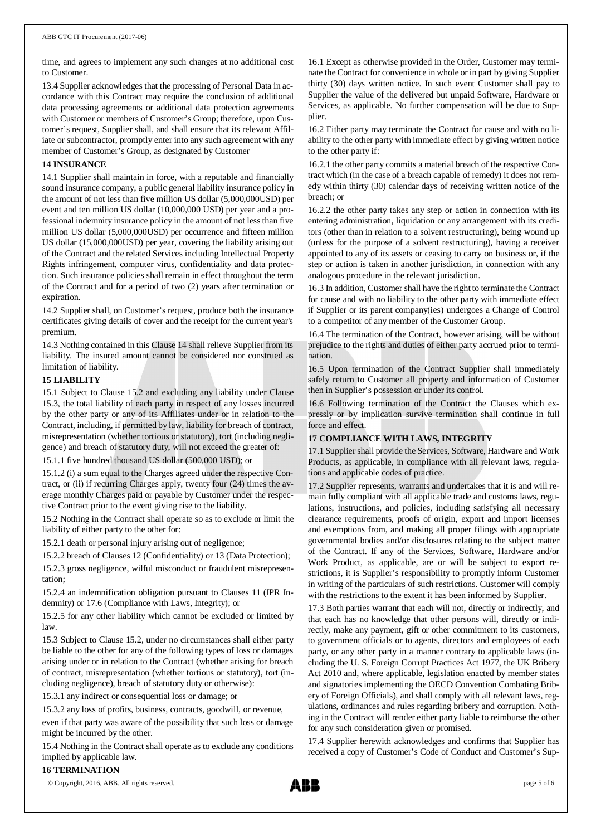time, and agrees to implement any such changes at no additional cost to Customer.

13.4 Supplier acknowledges that the processing of Personal Data in accordance with this Contract may require the conclusion of additional data processing agreements or additional data protection agreements with Customer or members of Customer's Group; therefore, upon Customer's request, Supplier shall, and shall ensure that its relevant Affiliate or subcontractor, promptly enter into any such agreement with any member of Customer's Group, as designated by Customer

## **14 INSURANCE**

14.1 Supplier shall maintain in force, with a reputable and financially sound insurance company, a public general liability insurance policy in the amount of not less than five million US dollar (5,000,000USD) per event and ten million US dollar (10,000,000 USD) per year and a professional indemnity insurance policy in the amount of not less than five million US dollar (5,000,000USD) per occurrence and fifteen million US dollar (15,000,000USD) per year, covering the liability arising out of the Contract and the related Services including Intellectual Property Rights infringement, computer virus, confidentiality and data protection. Such insurance policies shall remain in effect throughout the term of the Contract and for a period of two (2) years after termination or expiration.

14.2 Supplier shall, on Customer's request, produce both the insurance certificates giving details of cover and the receipt for the current year's premium.

14.3 Nothing contained in this Clause 14 shall relieve Supplier from its liability. The insured amount cannot be considered nor construed as limitation of liability.

## **15 LIABILITY**

15.1 Subject to Clause 15.2 and excluding any liability under Clause 15.3, the total liability of each party in respect of any losses incurred by the other party or any of its Affiliates under or in relation to the Contract, including, if permitted by law, liability for breach of contract, misrepresentation (whether tortious or statutory), tort (including negligence) and breach of statutory duty, will not exceed the greater of:

15.1.1 five hundred thousand US dollar (500,000 USD); or

15.1.2 (i) a sum equal to the Charges agreed under the respective Contract, or (ii) if recurring Charges apply, twenty four (24) times the average monthly Charges paid or payable by Customer under the respective Contract prior to the event giving rise to the liability.

15.2 Nothing in the Contract shall operate so as to exclude or limit the liability of either party to the other for:

15.2.1 death or personal injury arising out of negligence;

15.2.2 breach of Clauses 12 (Confidentiality) or 13 (Data Protection);

15.2.3 gross negligence, wilful misconduct or fraudulent misrepresentation;

15.2.4 an indemnification obligation pursuant to Clauses 11 (IPR Indemnity) or 17.6 (Compliance with Laws, Integrity); or

15.2.5 for any other liability which cannot be excluded or limited by law.

15.3 Subject to Clause 15.2, under no circumstances shall either party be liable to the other for any of the following types of loss or damages arising under or in relation to the Contract (whether arising for breach of contract, misrepresentation (whether tortious or statutory), tort (including negligence), breach of statutory duty or otherwise):

15.3.1 any indirect or consequential loss or damage; or

15.3.2 any loss of profits, business, contracts, goodwill, or revenue,

even if that party was aware of the possibility that such loss or damage might be incurred by the other.

15.4 Nothing in the Contract shall operate as to exclude any conditions implied by applicable law.

16.1 Except as otherwise provided in the Order, Customer may terminate the Contract for convenience in whole or in part by giving Supplier thirty (30) days written notice. In such event Customer shall pay to Supplier the value of the delivered but unpaid Software, Hardware or Services, as applicable. No further compensation will be due to Supplier.

16.2 Either party may terminate the Contract for cause and with no liability to the other party with immediate effect by giving written notice to the other party if:

16.2.1 the other party commits a material breach of the respective Contract which (in the case of a breach capable of remedy) it does not remedy within thirty (30) calendar days of receiving written notice of the breach; or

16.2.2 the other party takes any step or action in connection with its entering administration, liquidation or any arrangement with its creditors (other than in relation to a solvent restructuring), being wound up (unless for the purpose of a solvent restructuring), having a receiver appointed to any of its assets or ceasing to carry on business or, if the step or action is taken in another jurisdiction, in connection with any analogous procedure in the relevant jurisdiction.

16.3 In addition, Customer shall have the right to terminate the Contract for cause and with no liability to the other party with immediate effect if Supplier or its parent company(ies) undergoes a Change of Control to a competitor of any member of the Customer Group.

16.4 The termination of the Contract, however arising, will be without prejudice to the rights and duties of either party accrued prior to termination.

16.5 Upon termination of the Contract Supplier shall immediately safely return to Customer all property and information of Customer then in Supplier's possession or under its control.

16.6 Following termination of the Contract the Clauses which expressly or by implication survive termination shall continue in full force and effect.

## **17 COMPLIANCE WITH LAWS, INTEGRITY**

17.1 Supplier shall provide the Services, Software, Hardware and Work Products, as applicable, in compliance with all relevant laws, regulations and applicable codes of practice.

17.2 Supplier represents, warrants and undertakes that it is and will remain fully compliant with all applicable trade and customs laws, regulations, instructions, and policies, including satisfying all necessary clearance requirements, proofs of origin, export and import licenses and exemptions from, and making all proper filings with appropriate governmental bodies and/or disclosures relating to the subject matter of the Contract. If any of the Services, Software, Hardware and/or Work Product, as applicable, are or will be subject to export restrictions, it is Supplier's responsibility to promptly inform Customer in writing of the particulars of such restrictions. Customer will comply with the restrictions to the extent it has been informed by Supplier.

17.3 Both parties warrant that each will not, directly or indirectly, and that each has no knowledge that other persons will, directly or indirectly, make any payment, gift or other commitment to its customers, to government officials or to agents, directors and employees of each party, or any other party in a manner contrary to applicable laws (including the U. S. Foreign Corrupt Practices Act 1977, the UK Bribery Act 2010 and, where applicable, legislation enacted by member states and signatories implementing the OECD Convention Combating Bribery of Foreign Officials), and shall comply with all relevant laws, regulations, ordinances and rules regarding bribery and corruption. Nothing in the Contract will render either party liable to reimburse the other for any such consideration given or promised.

17.4 Supplier herewith acknowledges and confirms that Supplier has received a copy of Customer's Code of Conduct and Customer's Sup-

#### **16 TERMINATION**

© Copyright, 2016, ABB. All rights reserved. page 5 of 6